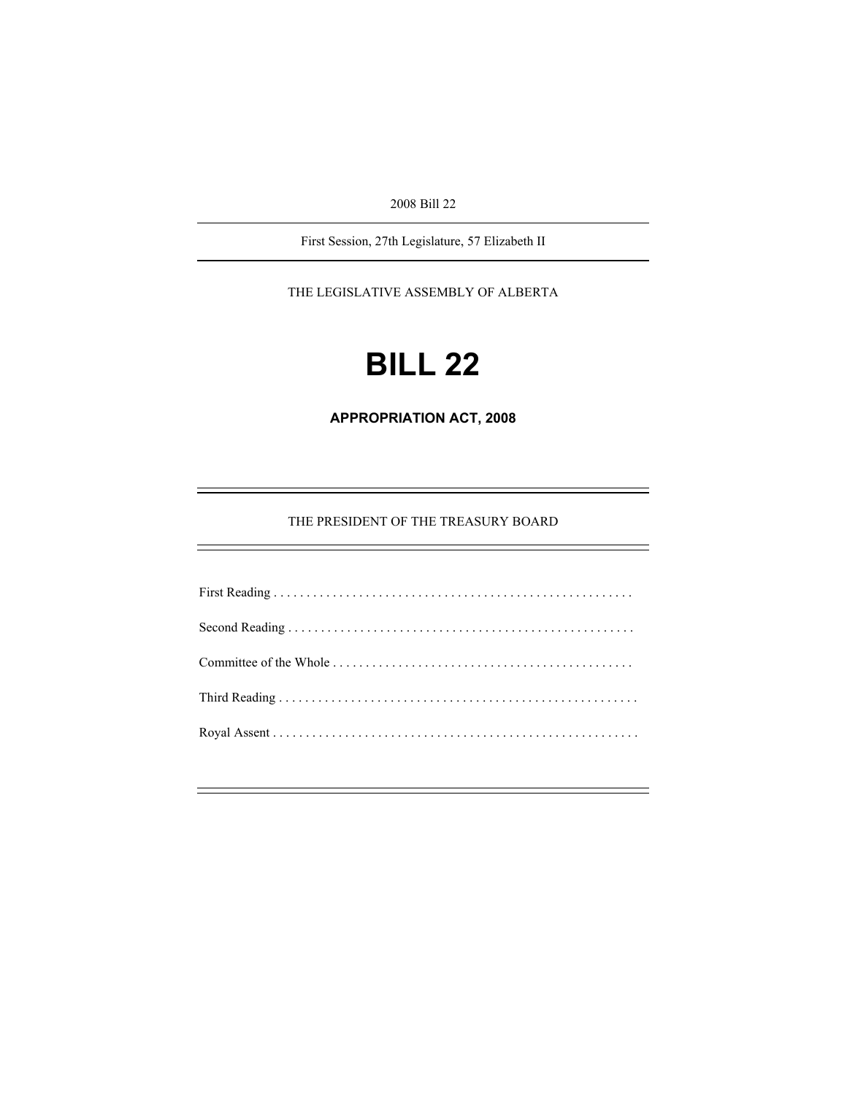2008 Bill 22

First Session, 27th Legislature, 57 Elizabeth II

THE LEGISLATIVE ASSEMBLY OF ALBERTA

# **BILL 22**

**APPROPRIATION ACT, 2008** 

THE PRESIDENT OF THE TREASURY BOARD

First Reading . . . . . . . . . . . . . . . . . . . . . . . . . . . . . . . . . . . . . . . . . . . . . . . . . . . . . . . Second Reading . . . . . . . . . . . . . . . . . . . . . . . . . . . . . . . . . . . . . . . . . . . . . . . . . . . . . Committee of the Whole . . . . . . . . . . . . . . . . . . . . . . . . . . . . . . . . . . . . . . . . . . . . . . Third Reading . . . . . . . . . . . . . . . . . . . . . . . . . . . . . . . . . . . . . . . . . . . . . . . . . . . . . . . Royal Assent . . . . . . . . . . . . . . . . . . . . . . . . . . . . . . . . . . . . . . . . . . . . . . . . . . . . . . . .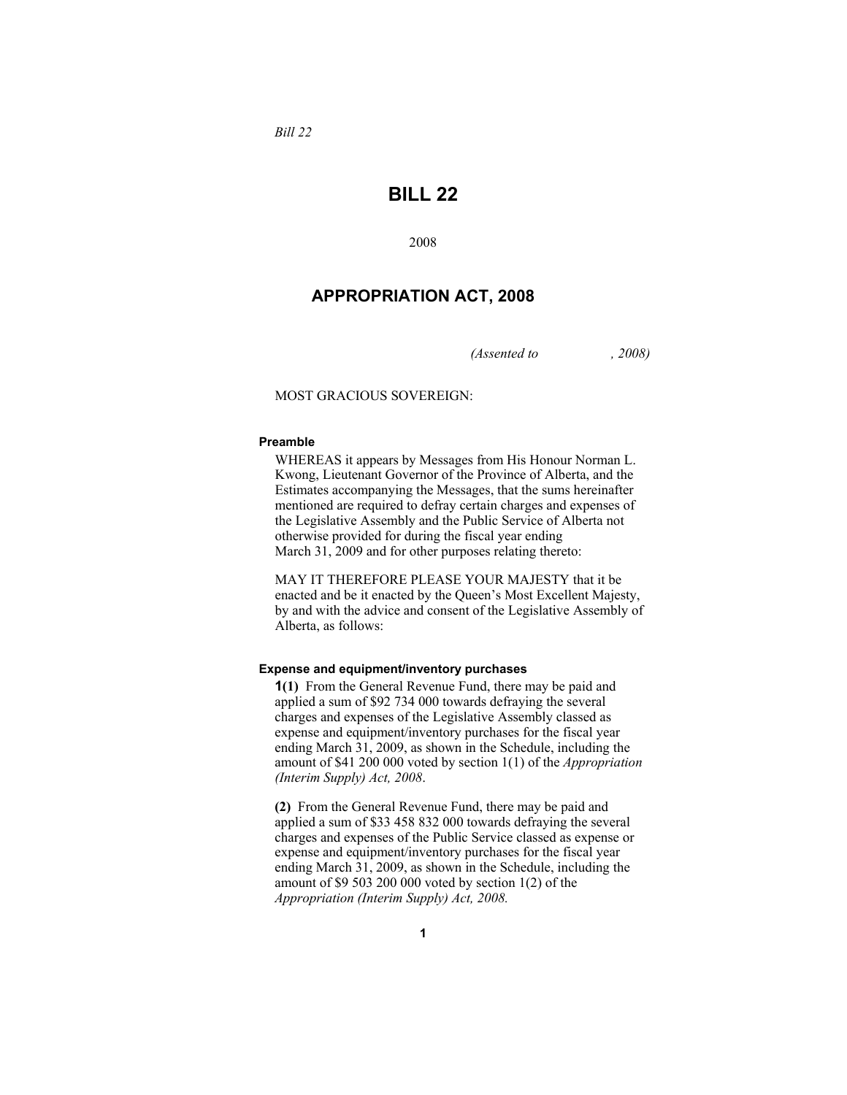*Bill 22* 

# **BILL 22**

2008

# **APPROPRIATION ACT, 2008**

*(Assented to , 2008)* 

# MOST GRACIOUS SOVEREIGN:

### **Preamble**

WHEREAS it appears by Messages from His Honour Norman L. Kwong, Lieutenant Governor of the Province of Alberta, and the Estimates accompanying the Messages, that the sums hereinafter mentioned are required to defray certain charges and expenses of the Legislative Assembly and the Public Service of Alberta not otherwise provided for during the fiscal year ending March 31, 2009 and for other purposes relating thereto:

MAY IT THEREFORE PLEASE YOUR MAJESTY that it be enacted and be it enacted by the Queen's Most Excellent Majesty, by and with the advice and consent of the Legislative Assembly of Alberta, as follows:

## **Expense and equipment/inventory purchases**

**1(1)** From the General Revenue Fund, there may be paid and applied a sum of \$92 734 000 towards defraying the several charges and expenses of the Legislative Assembly classed as expense and equipment/inventory purchases for the fiscal year ending March 31, 2009, as shown in the Schedule, including the amount of \$41 200 000 voted by section 1(1) of the *Appropriation (Interim Supply) Act, 2008*.

**(2)** From the General Revenue Fund, there may be paid and applied a sum of \$33 458 832 000 towards defraying the several charges and expenses of the Public Service classed as expense or expense and equipment/inventory purchases for the fiscal year ending March 31, 2009, as shown in the Schedule, including the amount of \$9 503 200 000 voted by section  $1(2)$  of the *Appropriation (Interim Supply) Act, 2008.*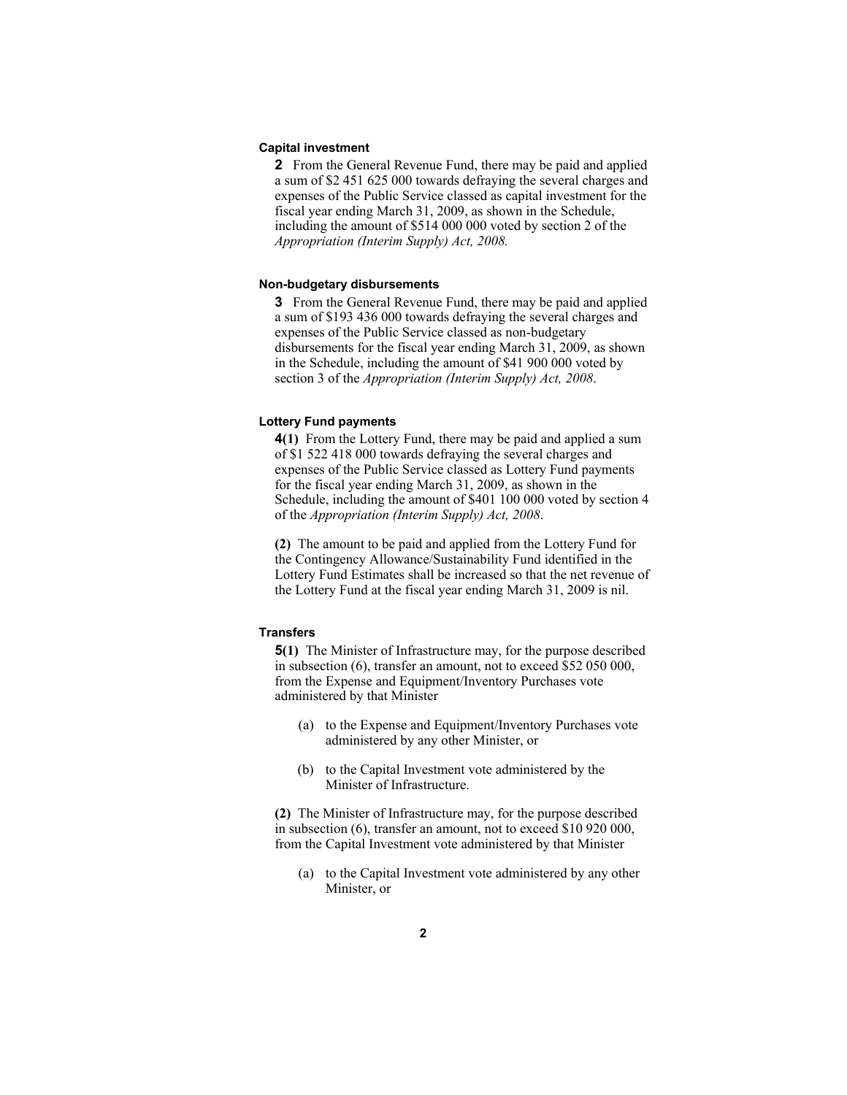## **Capital investment**

**2** From the General Revenue Fund, there may be paid and applied a sum of \$2 451 625 000 towards defraying the several charges and expenses of the Public Service classed as capital investment for the fiscal year ending March 31, 2009, as shown in the Schedule, including the amount of \$514 000 000 voted by section 2 of the *Appropriation (Interim Supply) Act, 2008.*

#### **Non-budgetary disbursements**

**3** From the General Revenue Fund, there may be paid and applied a sum of \$193 436 000 towards defraying the several charges and expenses of the Public Service classed as non-budgetary disbursements for the fiscal year ending March 31, 2009, as shown in the Schedule, including the amount of \$41 900 000 voted by section 3 of the *Appropriation (Interim Supply) Act, 2008*.

## **Lottery Fund payments**

**4(1)** From the Lottery Fund, there may be paid and applied a sum of \$1 522 418 000 towards defraying the several charges and expenses of the Public Service classed as Lottery Fund payments for the fiscal year ending March 31, 2009, as shown in the Schedule, including the amount of \$401 100 000 voted by section 4 of the *Appropriation (Interim Supply) Act, 2008*.

**(2)** The amount to be paid and applied from the Lottery Fund for the Contingency Allowance/Sustainability Fund identified in the Lottery Fund Estimates shall be increased so that the net revenue of the Lottery Fund at the fiscal year ending March 31, 2009 is nil.

# **Transfers**

**5(1)** The Minister of Infrastructure may, for the purpose described in subsection (6), transfer an amount, not to exceed \$52 050 000, from the Expense and Equipment/Inventory Purchases vote administered by that Minister

- (a) to the Expense and Equipment/Inventory Purchases vote administered by any other Minister, or
- (b) to the Capital Investment vote administered by the Minister of Infrastructure.

**(2)** The Minister of Infrastructure may, for the purpose described in subsection (6), transfer an amount, not to exceed \$10 920 000, from the Capital Investment vote administered by that Minister

(a) to the Capital Investment vote administered by any other Minister, or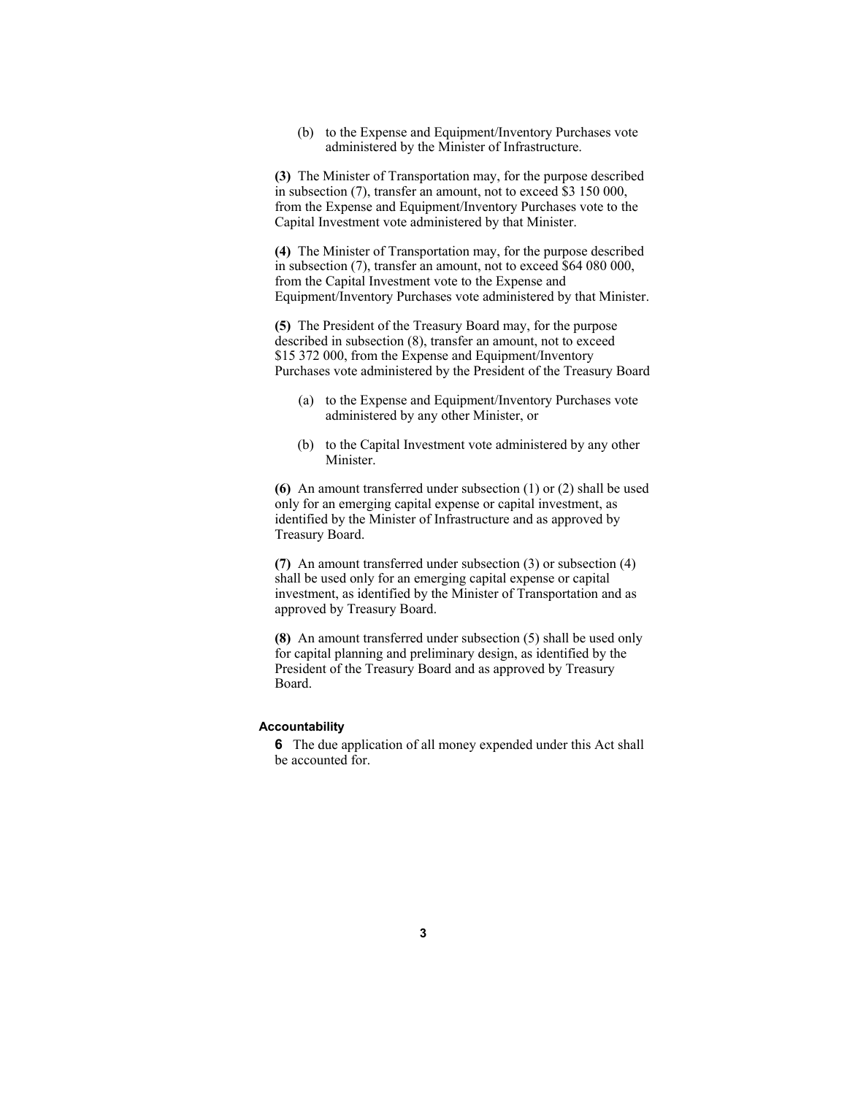(b) to the Expense and Equipment/Inventory Purchases vote administered by the Minister of Infrastructure.

**(3)** The Minister of Transportation may, for the purpose described in subsection (7), transfer an amount, not to exceed \$3 150 000, from the Expense and Equipment/Inventory Purchases vote to the Capital Investment vote administered by that Minister.

**(4)** The Minister of Transportation may, for the purpose described in subsection (7), transfer an amount, not to exceed \$64 080 000, from the Capital Investment vote to the Expense and Equipment/Inventory Purchases vote administered by that Minister.

**(5)** The President of the Treasury Board may, for the purpose described in subsection (8), transfer an amount, not to exceed \$15 372 000, from the Expense and Equipment/Inventory Purchases vote administered by the President of the Treasury Board

- (a) to the Expense and Equipment/Inventory Purchases vote administered by any other Minister, or
- (b) to the Capital Investment vote administered by any other **Minister**

**(6)** An amount transferred under subsection (1) or (2) shall be used only for an emerging capital expense or capital investment, as identified by the Minister of Infrastructure and as approved by Treasury Board.

**(7)** An amount transferred under subsection (3) or subsection (4) shall be used only for an emerging capital expense or capital investment, as identified by the Minister of Transportation and as approved by Treasury Board.

**(8)** An amount transferred under subsection (5) shall be used only for capital planning and preliminary design, as identified by the President of the Treasury Board and as approved by Treasury Board.

# **Accountability**

**6** The due application of all money expended under this Act shall be accounted for.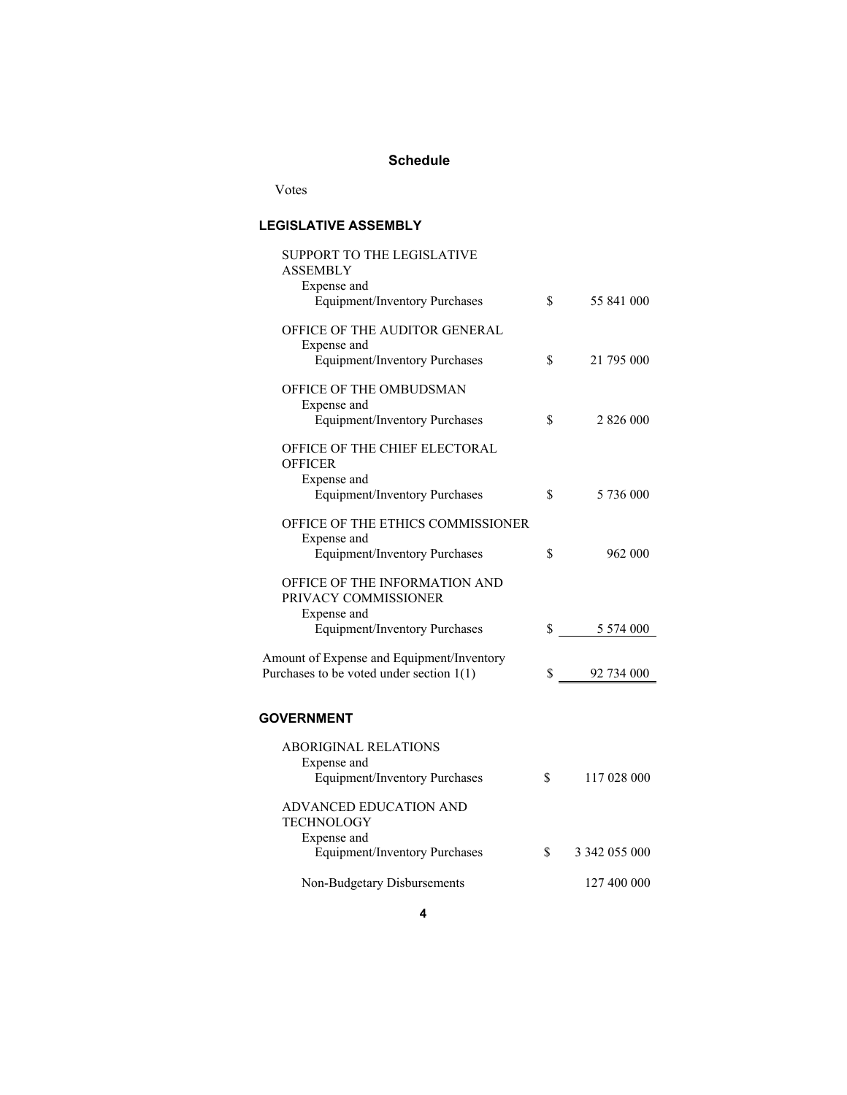# **Schedule**

Votes

# **LEGISLATIVE ASSEMBLY**

| SUPPORT TO THE LEGISLATIVE<br>ASSEMBLY                |    |               |
|-------------------------------------------------------|----|---------------|
| Expense and                                           |    |               |
| <b>Equipment/Inventory Purchases</b>                  | \$ | 55 841 000    |
| OFFICE OF THE AUDITOR GENERAL                         |    |               |
| Expense and<br><b>Equipment/Inventory Purchases</b>   | \$ | 21 795 000    |
|                                                       |    |               |
| OFFICE OF THE OMBUDSMAN<br>Expense and                |    |               |
| <b>Equipment/Inventory Purchases</b>                  | \$ | 2 826 000     |
| OFFICE OF THE CHIEF ELECTORAL<br><b>OFFICER</b>       |    |               |
| Expense and                                           |    |               |
| <b>Equipment/Inventory Purchases</b>                  | \$ | 5 736 000     |
| OFFICE OF THE ETHICS COMMISSIONER<br>Expense and      |    |               |
| <b>Equipment/Inventory Purchases</b>                  | \$ | 962 000       |
| OFFICE OF THE INFORMATION AND<br>PRIVACY COMMISSIONER |    |               |
| Expense and<br><b>Equipment/Inventory Purchases</b>   | \$ | 5 5 7 4 0 0 0 |
|                                                       |    |               |
| Amount of Expense and Equipment/Inventory             |    |               |
| Purchases to be voted under section $1(1)$            | S. | 92 734 000    |
|                                                       |    |               |
| <b>GOVERNMENT</b>                                     |    |               |
| <b>ABORIGINAL RELATIONS</b>                           |    |               |
| Expense and<br><b>Equipment/Inventory Purchases</b>   | \$ | 117 028 000   |
|                                                       |    |               |
| ADVANCED EDUCATION AND                                |    |               |
| <b>TECHNOLOGY</b>                                     |    |               |
| Expense and                                           | \$ | 3 342 055 000 |
| <b>Equipment/Inventory Purchases</b>                  |    |               |
| Non-Budgetary Disbursements                           |    | 127 400 000   |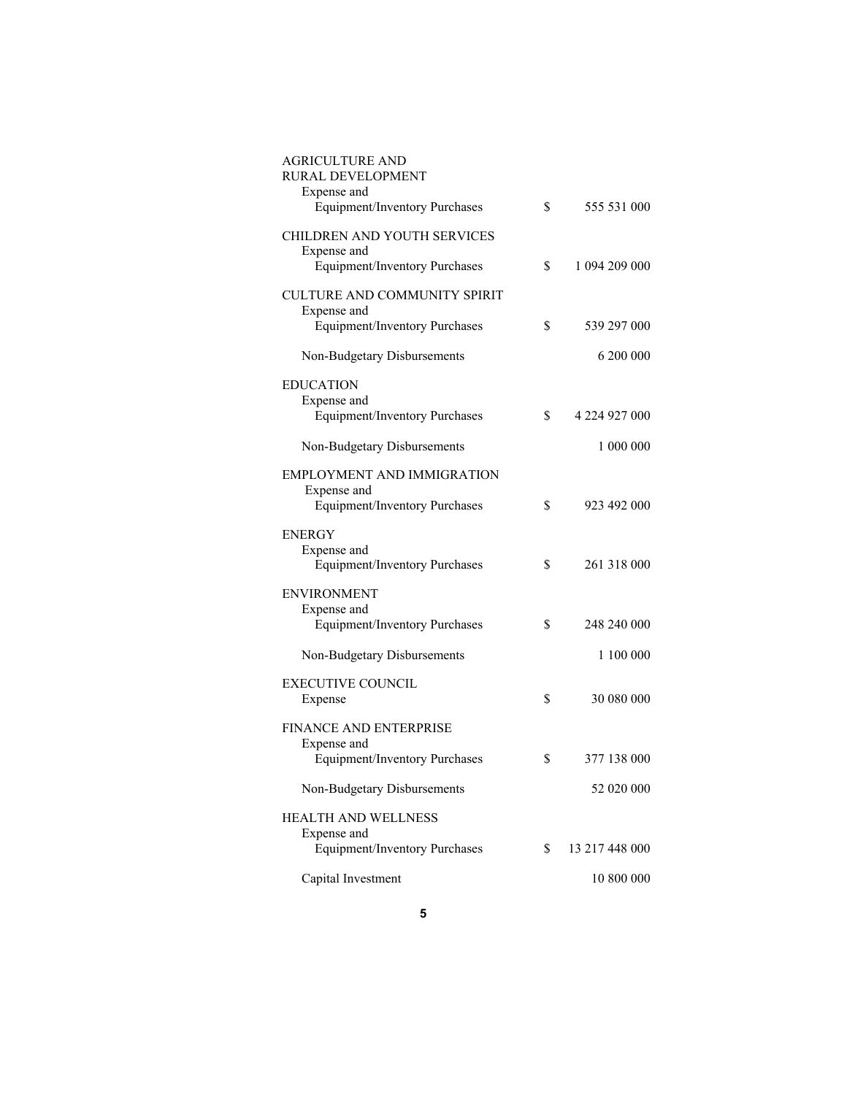| <b>AGRICULTURE AND</b><br>RURAL DEVELOPMENT         |    |                |
|-----------------------------------------------------|----|----------------|
| Expense and                                         |    |                |
| <b>Equipment/Inventory Purchases</b>                | \$ | 555 531 000    |
| CHILDREN AND YOUTH SERVICES                         |    |                |
| Expense and<br><b>Equipment/Inventory Purchases</b> | S  | 1 094 209 000  |
| <b>CULTURE AND COMMUNITY SPIRIT</b>                 |    |                |
| Expense and                                         |    |                |
| <b>Equipment/Inventory Purchases</b>                | \$ | 539 297 000    |
| Non-Budgetary Disbursements                         |    | 6 200 000      |
| <b>EDUCATION</b>                                    |    |                |
| Expense and<br><b>Equipment/Inventory Purchases</b> | \$ | 4 224 927 000  |
|                                                     |    |                |
| Non-Budgetary Disbursements                         |    | 1 000 000      |
| EMPLOYMENT AND IMMIGRATION                          |    |                |
| Expense and<br><b>Equipment/Inventory Purchases</b> | \$ | 923 492 000    |
|                                                     |    |                |
| ENERGY<br>Expense and                               |    |                |
| <b>Equipment/Inventory Purchases</b>                | S  | 261 318 000    |
| <b>ENVIRONMENT</b>                                  |    |                |
| Expense and                                         |    |                |
| <b>Equipment/Inventory Purchases</b>                | S  | 248 240 000    |
| Non-Budgetary Disbursements                         |    | 1 100 000      |
| <b>EXECUTIVE COUNCIL</b>                            |    |                |
| Expense                                             | \$ | 30 080 000     |
| <b>FINANCE AND ENTERPRISE</b>                       |    |                |
| Expense and<br><b>Equipment/Inventory Purchases</b> | S  | 377 138 000    |
|                                                     |    |                |
| Non-Budgetary Disbursements                         |    | 52 020 000     |
| <b>HEALTH AND WELLNESS</b>                          |    |                |
| Expense and<br><b>Equipment/Inventory Purchases</b> | \$ | 13 217 448 000 |
|                                                     |    |                |
| Capital Investment                                  |    | 10 800 000     |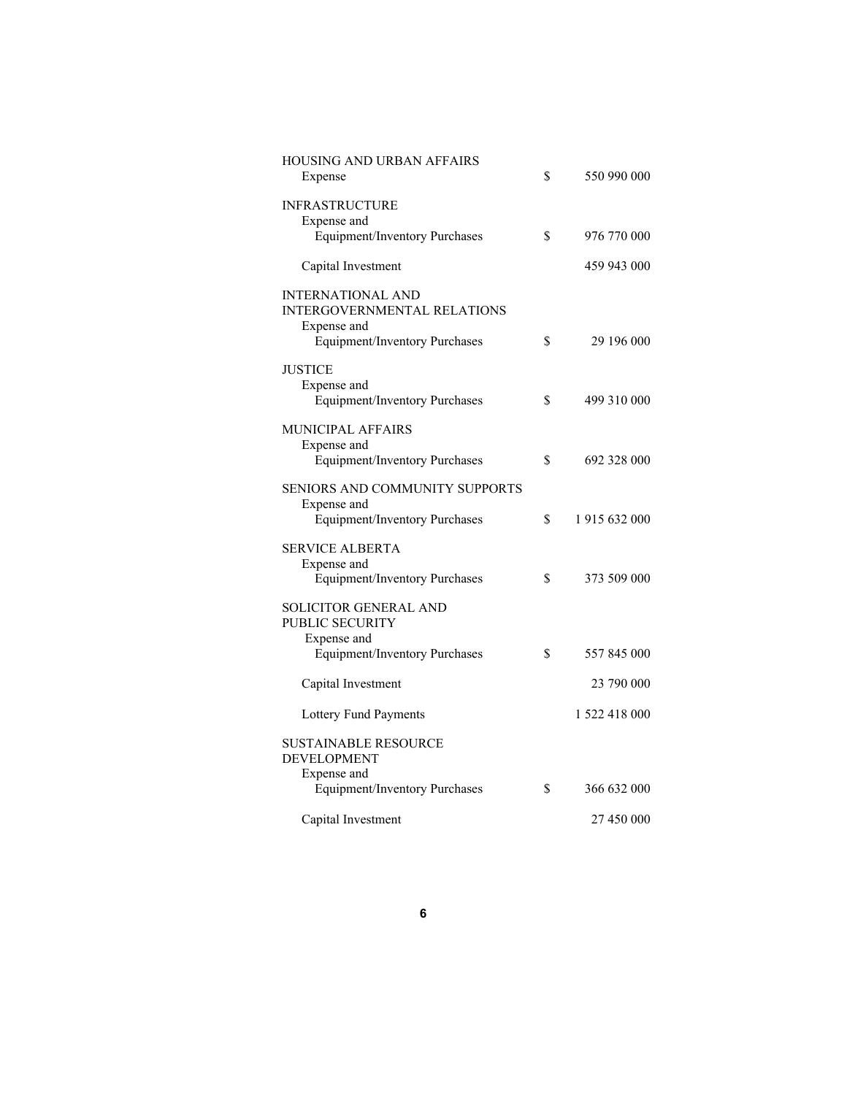| <b>HOUSING AND URBAN AFFAIRS</b><br>Expense                                   | \$<br>550 990 000   |
|-------------------------------------------------------------------------------|---------------------|
| <b>INFRASTRUCTURE</b><br>Expense and                                          |                     |
| Equipment/Inventory Purchases                                                 | \$<br>976 770 000   |
| Capital Investment                                                            | 459 943 000         |
| <b>INTERNATIONAL AND</b><br><b>INTERGOVERNMENTAL RELATIONS</b><br>Expense and |                     |
| <b>Equipment/Inventory Purchases</b>                                          | \$<br>29 196 000    |
| <b>JUSTICE</b><br>Expense and<br>Equipment/Inventory Purchases                | \$<br>499 310 000   |
| <b>MUNICIPAL AFFAIRS</b>                                                      |                     |
| Expense and<br><b>Equipment/Inventory Purchases</b>                           | \$<br>692 328 000   |
| SENIORS AND COMMUNITY SUPPORTS                                                |                     |
| Expense and<br><b>Equipment/Inventory Purchases</b>                           | \$<br>1 915 632 000 |
| <b>SERVICE ALBERTA</b>                                                        |                     |
| Expense and<br><b>Equipment/Inventory Purchases</b>                           | \$<br>373 509 000   |
| SOLICITOR GENERAL AND<br>PUBLIC SECURITY                                      |                     |
| Expense and<br><b>Equipment/Inventory Purchases</b>                           | \$<br>557 845 000   |
| Capital Investment                                                            | 23 790 000          |
| Lottery Fund Payments                                                         | 1 522 418 000       |
| <b>SUSTAINABLE RESOURCE</b><br><b>DEVELOPMENT</b>                             |                     |
| Expense and<br>Equipment/Inventory Purchases                                  | \$<br>366 632 000   |
| Capital Investment                                                            | 27 450 000          |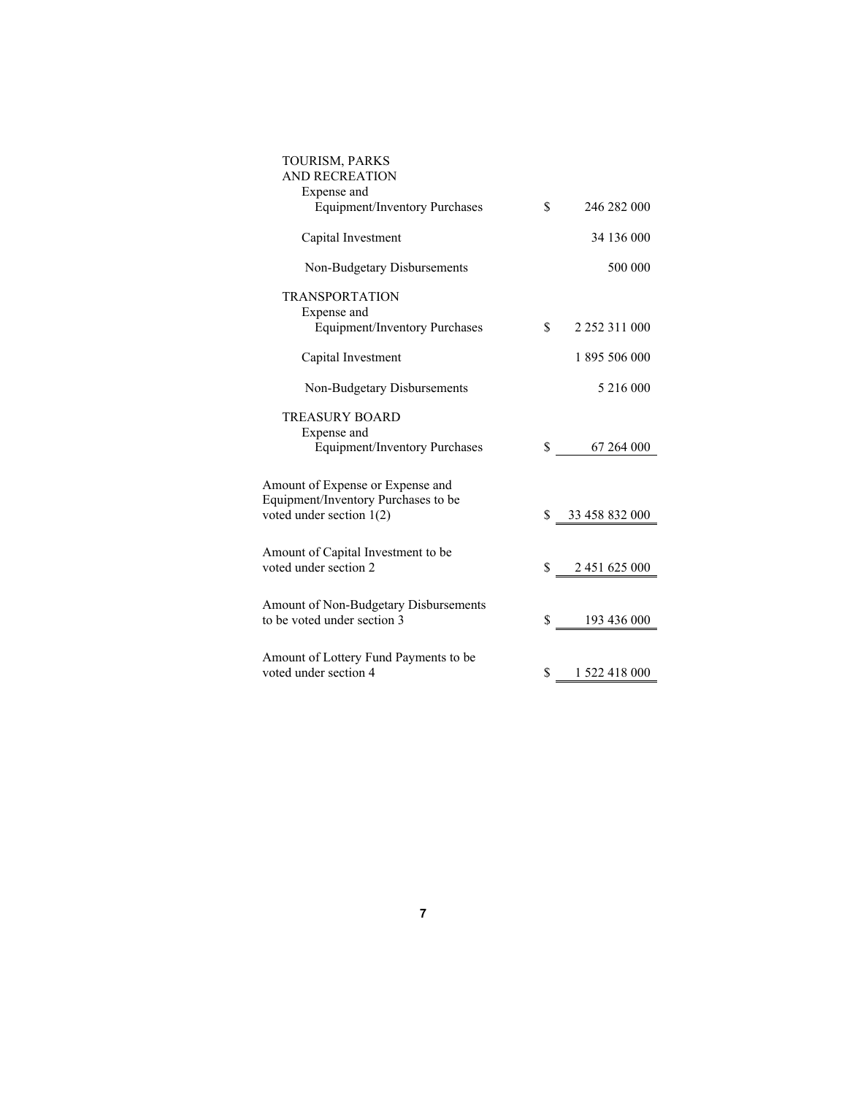| TOURISM, PARKS                                                       |                           |
|----------------------------------------------------------------------|---------------------------|
| <b>AND RECREATION</b>                                                |                           |
| Expense and                                                          |                           |
| <b>Equipment/Inventory Purchases</b>                                 | \$<br>246 282 000         |
| Capital Investment                                                   | 34 136 000                |
| Non-Budgetary Disbursements                                          | 500 000                   |
| <b>TRANSPORTATION</b>                                                |                           |
| Expense and                                                          |                           |
| <b>Equipment/Inventory Purchases</b>                                 | \$<br>2 2 5 2 3 1 1 0 0 0 |
| Capital Investment                                                   | 1 895 506 000             |
| Non-Budgetary Disbursements                                          | 5 216 000                 |
| <b>TREASURY BOARD</b>                                                |                           |
| Expense and                                                          |                           |
| <b>Equipment/Inventory Purchases</b>                                 | \$<br>67 264 000          |
|                                                                      |                           |
| Amount of Expense or Expense and                                     |                           |
| Equipment/Inventory Purchases to be<br>voted under section 1(2)      | \$ 33 458 832 000         |
|                                                                      |                           |
| Amount of Capital Investment to be                                   |                           |
| voted under section 2                                                | \$<br>2 451 625 000       |
|                                                                      |                           |
| Amount of Non-Budgetary Disbursements<br>to be voted under section 3 | \$<br>193 436 000         |
|                                                                      |                           |
| Amount of Lottery Fund Payments to be                                |                           |
| voted under section 4                                                | \$<br>1 522 418 000       |